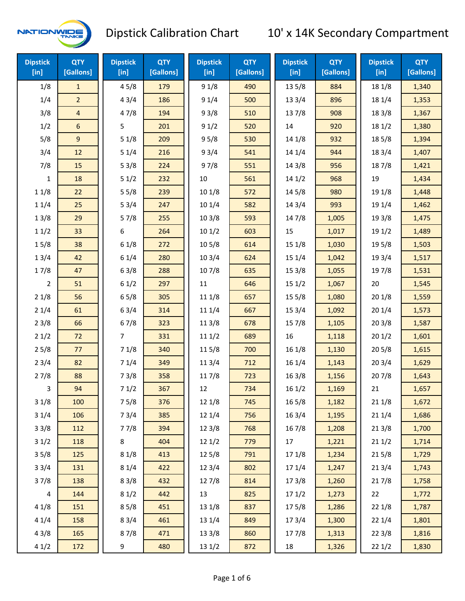

| <b>Dipstick</b><br>$[$ in] | <b>QTY</b><br>[Gallons] | <b>Dipstick</b><br>$[$ in] | <b>QTY</b><br>[Gallons] | <b>Dipstick</b><br>[in] | <b>QTY</b><br>[Gallons] | <b>Dipstick</b><br>$[$ in] | <b>QTY</b><br>[Gallons] | <b>Dipstick</b><br>$[$ in] | <b>QTY</b><br>[Gallons] |
|----------------------------|-------------------------|----------------------------|-------------------------|-------------------------|-------------------------|----------------------------|-------------------------|----------------------------|-------------------------|
| 1/8                        | $\mathbf{1}$            | 45/8                       | 179                     | 91/8                    | 490                     | 135/8                      | 884                     | 18 1/8                     | 1,340                   |
| 1/4                        | $\overline{2}$          | 43/4                       | 186                     | 91/4                    | 500                     | 13 3/4                     | 896                     | 18 1/4                     | 1,353                   |
| 3/8                        | $\overline{4}$          | 47/8                       | 194                     | 93/8                    | 510                     | 137/8                      | 908                     | 18 3/8                     | 1,367                   |
| 1/2                        | $\boldsymbol{6}$        | 5                          | 201                     | 91/2                    | 520                     | 14                         | 920                     | 181/2                      | 1,380                   |
| 5/8                        | $\boldsymbol{9}$        | 51/8                       | 209                     | 95/8                    | 530                     | 14 1/8                     | 932                     | 185/8                      | 1,394                   |
| 3/4                        | 12                      | 51/4                       | 216                     | 93/4                    | 541                     | 14 1/4                     | 944                     | 183/4                      | 1,407                   |
| 7/8                        | 15                      | 53/8                       | 224                     | 97/8                    | 551                     | 14 3/8                     | 956                     | 187/8                      | 1,421                   |
| $\mathbf{1}$               | 18                      | 51/2                       | 232                     | 10                      | 561                     | 141/2                      | 968                     | 19                         | 1,434                   |
| 11/8                       | 22                      | 55/8                       | 239                     | 101/8                   | 572                     | 145/8                      | 980                     | 19 1/8                     | 1,448                   |
| 11/4                       | 25                      | 53/4                       | 247                     | 101/4                   | 582                     | 14 3/4                     | 993                     | 19 1/4                     | 1,462                   |
| 13/8                       | 29                      | 57/8                       | 255                     | 103/8                   | 593                     | 147/8                      | 1,005                   | 19 3/8                     | 1,475                   |
| 11/2                       | 33                      | 6                          | 264                     | 101/2                   | 603                     | 15                         | 1,017                   | 19 1/2                     | 1,489                   |
| 15/8                       | 38                      | 61/8                       | 272                     | 10 <sub>5/8</sub>       | 614                     | 15 1/8                     | 1,030                   | 19 5/8                     | 1,503                   |
| 13/4                       | 42                      | 61/4                       | 280                     | 103/4                   | 624                     | 15 1/4                     | 1,042                   | 19 3/4                     | 1,517                   |
| 17/8                       | 47                      | 63/8                       | 288                     | 107/8                   | 635                     | 15 3/8                     | 1,055                   | 197/8                      | 1,531                   |
| $\overline{2}$             | 51                      | 61/2                       | 297                     | 11                      | 646                     | 151/2                      | 1,067                   | 20                         | 1,545                   |
| 21/8                       | 56                      | 65/8                       | 305                     | 11 1/8                  | 657                     | 15 5/8                     | 1,080                   | 201/8                      | 1,559                   |
| 21/4                       | 61                      | 63/4                       | 314                     | 11 1/4                  | 667                     | 15 3/4                     | 1,092                   | 201/4                      | 1,573                   |
| 23/8                       | 66                      | 67/8                       | 323                     | 11 3/8                  | 678                     | 15 7/8                     | 1,105                   | 203/8                      | 1,587                   |
| 21/2                       | 72                      | 7                          | 331                     | 111/2                   | 689                     | 16                         | 1,118                   | 201/2                      | 1,601                   |
| 25/8                       | 77                      | 71/8                       | 340                     | 115/8                   | 700                     | 16 1/8                     | 1,130                   | 205/8                      | 1,615                   |
| 23/4                       | 82                      | 71/4                       | 349                     | 11 3/4                  | 712                     | 16 1/4                     | 1,143                   | 203/4                      | 1,629                   |
| 27/8                       | 88                      | 73/8                       | 358                     | 117/8                   | 723                     | 16 3/8                     | 1,156                   | 207/8                      | 1,643                   |
| 3                          | 94                      | 71/2                       | 367                     | 12                      | 734                     | 161/2                      | 1,169                   | 21                         | 1,657                   |
| 31/8                       | 100                     | 75/8                       | 376                     | 12 1/8                  | 745                     | 16 5/8                     | 1,182                   | 211/8                      | 1,672                   |
| 31/4                       | 106                     | 73/4                       | 385                     | 12 1/4                  | 756                     | 16 3/4                     | 1,195                   | 211/4                      | 1,686                   |
| 33/8                       | 112                     | 77/8                       | 394                     | 12 3/8                  | 768                     | 16 7/8                     | 1,208                   | 213/8                      | 1,700                   |
| 31/2                       | 118                     | 8                          | 404                     | 121/2                   | 779                     | 17                         | 1,221                   | 211/2                      | 1,714                   |
| 35/8                       | 125                     | 81/8                       | 413                     | 125/8                   | 791                     | 17 1/8                     | 1,234                   | 215/8                      | 1,729                   |
| 33/4                       | 131                     | 81/4                       | 422                     | 123/4                   | 802                     | 17 1/4                     | 1,247                   | 213/4                      | 1,743                   |
| 37/8                       | 138                     | 83/8                       | 432                     | 127/8                   | 814                     | 173/8                      | 1,260                   | 217/8                      | 1,758                   |
| $\overline{4}$             | 144                     | 81/2                       | 442                     | 13                      | 825                     | 171/2                      | 1,273                   | 22                         | 1,772                   |
| 41/8                       | 151                     | 85/8                       | 451                     | 13 1/8                  | 837                     | 175/8                      | 1,286                   | 22 1/8                     | 1,787                   |
| 41/4                       | 158                     | 83/4                       | 461                     | 13 1/4                  | 849                     | 17 3/4                     | 1,300                   | 221/4                      | 1,801                   |
| 43/8                       | 165                     | 87/8                       | 471                     | 13 3/8                  | 860                     | 177/8                      | 1,313                   | 223/8                      | 1,816                   |
| 41/2                       | 172                     | 9                          | 480                     | 13 1/2                  | 872                     | 18                         | 1,326                   | 221/2                      | 1,830                   |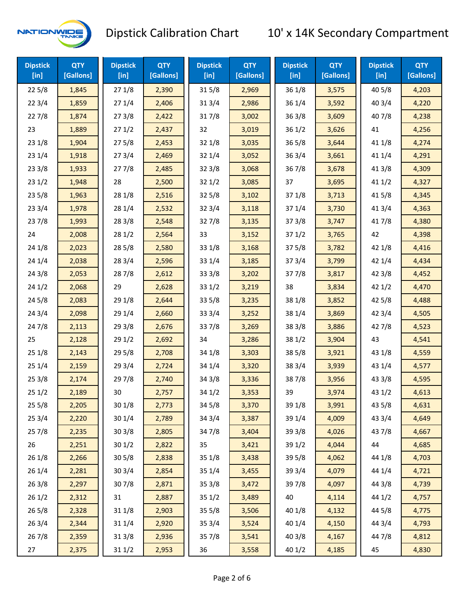

| <b>Dipstick</b><br>$[$ in] | <b>QTY</b><br>[Gallons] | <b>Dipstick</b><br>$[$ in] | <b>QTY</b><br>[Gallons] | <b>Dipstick</b><br>[in] | <b>QTY</b><br>[Gallons] | <b>Dipstick</b><br>$[$ in] | <b>QTY</b><br>[Gallons] | <b>Dipstick</b><br>$[$ in] | <b>QTY</b><br>[Gallons] |
|----------------------------|-------------------------|----------------------------|-------------------------|-------------------------|-------------------------|----------------------------|-------------------------|----------------------------|-------------------------|
| 225/8                      | 1,845                   | 271/8                      | 2,390                   | 315/8                   | 2,969                   | 36 1/8                     | 3,575                   | 40 5/8                     | 4,203                   |
| 223/4                      | 1,859                   | 271/4                      | 2,406                   | 313/4                   | 2,986                   | 36 1/4                     | 3,592                   | 403/4                      | 4,220                   |
| 227/8                      | 1,874                   | 273/8                      | 2,422                   | 317/8                   | 3,002                   | 36 3/8                     | 3,609                   | 407/8                      | 4,238                   |
| 23                         | 1,889                   | 271/2                      | 2,437                   | 32                      | 3,019                   | 36 1/2                     | 3,626                   | 41                         | 4,256                   |
| 231/8                      | 1,904                   | 275/8                      | 2,453                   | 32 1/8                  | 3,035                   | 36 5/8                     | 3,644                   | 41 1/8                     | 4,274                   |
| 231/4                      | 1,918                   | 273/4                      | 2,469                   | 32 1/4                  | 3,052                   | 36 3/4                     | 3,661                   | 41 1/4                     | 4,291                   |
| 233/8                      | 1,933                   | 277/8                      | 2,485                   | 323/8                   | 3,068                   | 367/8                      | 3,678                   | 41 3/8                     | 4,309                   |
| 231/2                      | 1,948                   | 28                         | 2,500                   | 321/2                   | 3,085                   | 37                         | 3,695                   | 411/2                      | 4,327                   |
| 235/8                      | 1,963                   | 28 1/8                     | 2,516                   | 325/8                   | 3,102                   | 37 1/8                     | 3,713                   | 41 5/8                     | 4,345                   |
| 233/4                      | 1,978                   | 28 1/4                     | 2,532                   | 32 3/4                  | 3,118                   | 37 1/4                     | 3,730                   | 41 3/4                     | 4,363                   |
| 237/8                      | 1,993                   | 28 3/8                     | 2,548                   | 327/8                   | 3,135                   | 37 3/8                     | 3,747                   | 417/8                      | 4,380                   |
| 24                         | 2,008                   | 281/2                      | 2,564                   | 33                      | 3,152                   | 371/2                      | 3,765                   | 42                         | 4,398                   |
| 24 1/8                     | 2,023                   | 285/8                      | 2,580                   | 33 1/8                  | 3,168                   | 37 5/8                     | 3,782                   | 42 1/8                     | 4,416                   |
| 241/4                      | 2,038                   | 283/4                      | 2,596                   | 33 1/4                  | 3,185                   | 37 3/4                     | 3,799                   | 42 1/4                     | 4,434                   |
| 243/8                      | 2,053                   | 287/8                      | 2,612                   | 33 3/8                  | 3,202                   | 377/8                      | 3,817                   | 42 3/8                     | 4,452                   |
| 241/2                      | 2,068                   | 29                         | 2,628                   | 331/2                   | 3,219                   | 38                         | 3,834                   | 421/2                      | 4,470                   |
| 245/8                      | 2,083                   | 29 1/8                     | 2,644                   | 335/8                   | 3,235                   | 38 1/8                     | 3,852                   | 42 5/8                     | 4,488                   |
| 243/4                      | 2,098                   | 29 1/4                     | 2,660                   | 33 3/4                  | 3,252                   | 38 1/4                     | 3,869                   | 42 3/4                     | 4,505                   |
| 24 7/8                     | 2,113                   | 293/8                      | 2,676                   | 337/8                   | 3,269                   | 38 3/8                     | 3,886                   | 42 7/8                     | 4,523                   |
| 25                         | 2,128                   | 291/2                      | 2,692                   | 34                      | 3,286                   | 38 1/2                     | 3,904                   | 43                         | 4,541                   |
| 251/8                      | 2,143                   | 29 5/8                     | 2,708                   | 34 1/8                  | 3,303                   | 38 5/8                     | 3,921                   | 43 1/8                     | 4,559                   |
| 251/4                      | 2,159                   | 29 3/4                     | 2,724                   | 34 1/4                  | 3,320                   | 38 3/4                     | 3,939                   | 43 1/4                     | 4,577                   |
| 253/8                      | 2,174                   | 297/8                      | 2,740                   | 34 3/8                  | 3,336                   | 387/8                      | 3,956                   | 43 3/8                     | 4,595                   |
| 251/2                      | 2,189                   | 30                         | 2,757                   | 34 1/2                  | 3,353                   | 39                         | 3,974                   | 43 1/2                     | 4,613                   |
| 255/8                      | 2,205                   | 30 1/8                     | 2,773                   | 34 5/8                  | 3,370                   | 39 1/8                     | 3,991                   | 43 5/8                     | 4,631                   |
| 253/4                      | 2,220                   | 30 1/4                     | 2,789                   | 34 3/4                  | 3,387                   | 39 1/4                     | 4,009                   | 43 3/4                     | 4,649                   |
| 257/8                      | 2,235                   | 30 3/8                     | 2,805                   | 347/8                   | 3,404                   | 39 3/8                     | 4,026                   | 437/8                      | 4,667                   |
| 26                         | 2,251                   | 30 1/2                     | 2,822                   | 35                      | 3,421                   | 39 1/2                     | 4,044                   | 44                         | 4,685                   |
| 26 1/8                     | 2,266                   | 30 5/8                     | 2,838                   | 35 1/8                  | 3,438                   | 39 5/8                     | 4,062                   | 44 1/8                     | 4,703                   |
| 26 1/4                     | 2,281                   | 30 3/4                     | 2,854                   | 35 1/4                  | 3,455                   | 39 3/4                     | 4,079                   | 44 1/4                     | 4,721                   |
| 263/8                      | 2,297                   | 307/8                      | 2,871                   | 35 3/8                  | 3,472                   | 397/8                      | 4,097                   | 44 3/8                     | 4,739                   |
| 261/2                      | 2,312                   | 31                         | 2,887                   | 35 1/2                  | 3,489                   | 40                         | 4,114                   | 44 1/2                     | 4,757                   |
| 265/8                      | 2,328                   | 31 1/8                     | 2,903                   | 35 5/8                  | 3,506                   | 40 1/8                     | 4,132                   | 44 5/8                     | 4,775                   |
| 263/4                      | 2,344                   | 31 1/4                     | 2,920                   | 35 3/4                  | 3,524                   | 40 1/4                     | 4,150                   | 44 3/4                     | 4,793                   |
| 267/8                      | 2,359                   | 31 3/8                     | 2,936                   | 357/8                   | 3,541                   | 40 3/8                     | 4,167                   | 447/8                      | 4,812                   |
| 27                         | 2,375                   | 311/2                      | 2,953                   | 36                      | 3,558                   | 40 1/2                     | 4,185                   | 45                         | 4,830                   |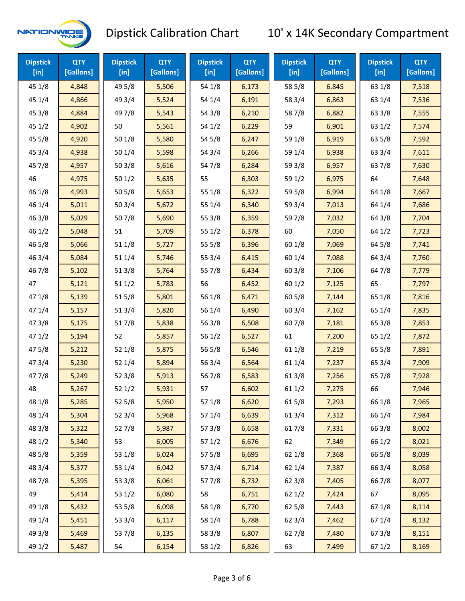

| <b>Dipstick</b><br>$[$ in] | <b>QTY</b><br>[Gallons] | <b>Dipstick</b><br>$[$ in] | <b>QTY</b><br>[Gallons] | <b>Dipstick</b><br>$[$ in] | <b>QTY</b><br>[Gallons] | <b>Dipstick</b><br>$[$ in] | <b>QTY</b><br>[Gallons] | <b>Dipstick</b><br>$[$ in] | <b>QTY</b><br>[Gallons] |
|----------------------------|-------------------------|----------------------------|-------------------------|----------------------------|-------------------------|----------------------------|-------------------------|----------------------------|-------------------------|
| 45 1/8                     | 4,848                   | 49 5/8                     | 5,506                   | 54 1/8                     | 6,173                   | 58 5/8                     | 6,845                   | 63 1/8                     | 7,518                   |
| 45 1/4                     | 4,866                   | 49 3/4                     | 5,524                   | 54 1/4                     | 6,191                   | 58 3/4                     | 6,863                   | 63 1/4                     | 7,536                   |
| 45 3/8                     | 4,884                   | 49 7/8                     | 5,543                   | 54 3/8                     | 6,210                   | 587/8                      | 6,882                   | 63 3/8                     | 7,555                   |
| 45 1/2                     | 4,902                   | 50                         | 5,561                   | 54 1/2                     | 6,229                   | 59                         | 6,901                   | 63 1/2                     | 7,574                   |
| 45 5/8                     | 4,920                   | 50 1/8                     | 5,580                   | 54 5/8                     | 6,247                   | 59 1/8                     | 6,919                   | 63 5/8                     | 7,592                   |
| 45 3/4                     | 4,938                   | 50 1/4                     | 5,598                   | 54 3/4                     | 6,266                   | 59 1/4                     | 6,938                   | 63 3/4                     | 7,611                   |
| 45 7/8                     | 4,957                   | 503/8                      | 5,616                   | 54 7/8                     | 6,284                   | 59 3/8                     | 6,957                   | 637/8                      | 7,630                   |
| 46                         | 4,975                   | 501/2                      | 5,635                   | 55                         | 6,303                   | 59 1/2                     | 6,975                   | 64                         | 7,648                   |
| 46 1/8                     | 4,993                   | 505/8                      | 5,653                   | 55 1/8                     | 6,322                   | 59 5/8                     | 6,994                   | 64 1/8                     | 7,667                   |
| 46 1/4                     | 5,011                   | 503/4                      | 5,672                   | 55 1/4                     | 6,340                   | 59 3/4                     | 7,013                   | 64 1/4                     | 7,686                   |
| 463/8                      | 5,029                   | 507/8                      | 5,690                   | 55 3/8                     | 6,359                   | 597/8                      | 7,032                   | 64 3/8                     | 7,704                   |
| 46 1/2                     | 5,048                   | 51                         | 5,709                   | 55 1/2                     | 6,378                   | 60                         | 7,050                   | 64 1/2                     | 7,723                   |
| 46 5/8                     | 5,066                   | 51 1/8                     | 5,727                   | 55 5/8                     | 6,396                   | 60 1/8                     | 7,069                   | 64 5/8                     | 7,741                   |
| 46 3/4                     | 5,084                   | 51 1/4                     | 5,746                   | 55 3/4                     | 6,415                   | 60 1/4                     | 7,088                   | 64 3/4                     | 7,760                   |
| 46 7/8                     | 5,102                   | 513/8                      | 5,764                   | 55 7/8                     | 6,434                   | 60 3/8                     | 7,106                   | 64 7/8                     | 7,779                   |
| 47                         | 5,121                   | 511/2                      | 5,783                   | 56                         | 6,452                   | 601/2                      | 7,125                   | 65                         | 7,797                   |
| 47 1/8                     | 5,139                   | 515/8                      | 5,801                   | 56 1/8                     | 6,471                   | 60 5/8                     | 7,144                   | 65 1/8                     | 7,816                   |
| 47 1/4                     | 5,157                   | 51 3/4                     | 5,820                   | 56 1/4                     | 6,490                   | 60 3/4                     | 7,162                   | 65 1/4                     | 7,835                   |
| 47 3/8                     | 5,175                   | 517/8                      | 5,838                   | 56 3/8                     | 6,508                   | 607/8                      | 7,181                   | 65 3/8                     | 7,853                   |
| 471/2                      | 5,194                   | 52                         | 5,857                   | 56 1/2                     | 6,527                   | 61                         | 7,200                   | 65 1/2                     | 7,872                   |
| 475/8                      | 5,212                   | 52 1/8                     | 5,875                   | 56 5/8                     | 6,546                   | 61 1/8                     | 7,219                   | 65 5/8                     | 7,891                   |
| 47 3/4                     | 5,230                   | 52 1/4                     | 5,894                   | 56 3/4                     | 6,564                   | 61 1/4                     | 7,237                   | 65 3/4                     | 7,909                   |
| 47 7/8                     | 5,249                   | 52 3/8                     | 5,913                   | 567/8                      | 6,583                   | 61 3/8                     | 7,256                   | 65 7/8                     | 7,928                   |
| 48                         | 5,267                   | 521/2                      | 5,931                   | 57                         | 6,602                   | 61 1/2                     | 7,275                   | 66                         | 7,946                   |
| 48 1/8                     | 5,285                   | 52 5/8                     | 5,950                   | 57 1/8                     | 6,620                   | 615/8                      | 7,293                   | 66 1/8                     | 7,965                   |
| 48 1/4                     | 5,304                   | 52 3/4                     | 5,968                   | 57 1/4                     | 6,639                   | 613/4                      | 7,312                   | 66 1/4                     | 7,984                   |
| 48 3/8                     | 5,322                   | 527/8                      | 5,987                   | 57 3/8                     | 6,658                   | 617/8                      | 7,331                   | 66 3/8                     | 8,002                   |
| 48 1/2                     | 5,340                   | 53                         | 6,005                   | 57 1/2                     | 6,676                   | 62                         | 7,349                   | 66 1/2                     | 8,021                   |
| 48 5/8                     | 5,359                   | 53 1/8                     | 6,024                   | 57 5/8                     | 6,695                   | 62 1/8                     | 7,368                   | 66 5/8                     | 8,039                   |
| 48 3/4                     | 5,377                   | 53 1/4                     | 6,042                   | 573/4                      | 6,714                   | 62 1/4                     | 7,387                   | 66 3/4                     | 8,058                   |
| 487/8                      | 5,395                   | 53 3/8                     | 6,061                   | 577/8                      | 6,732                   | 62 3/8                     | 7,405                   | 667/8                      | 8,077                   |
| 49                         | 5,414                   | 53 1/2                     | 6,080                   | 58                         | 6,751                   | 621/2                      | 7,424                   | 67                         | 8,095                   |
| 49 1/8                     | 5,432                   | 53 5/8                     | 6,098                   | 58 1/8                     | 6,770                   | 62 5/8                     | 7,443                   | 671/8                      | 8,114                   |
| 49 1/4                     | 5,451                   | 53 3/4                     | 6,117                   | 58 1/4                     | 6,788                   | 62 3/4                     | 7,462                   | 67 1/4                     | 8,132                   |
| 49 3/8                     | 5,469                   | 537/8                      | 6,135                   | 58 3/8                     | 6,807                   | 627/8                      | 7,480                   | 673/8                      | 8,151                   |
| 49 1/2                     | 5,487                   | 54                         | 6,154                   | 58 1/2                     | 6,826                   | 63                         | 7,499                   | 67 1/2                     | 8,169                   |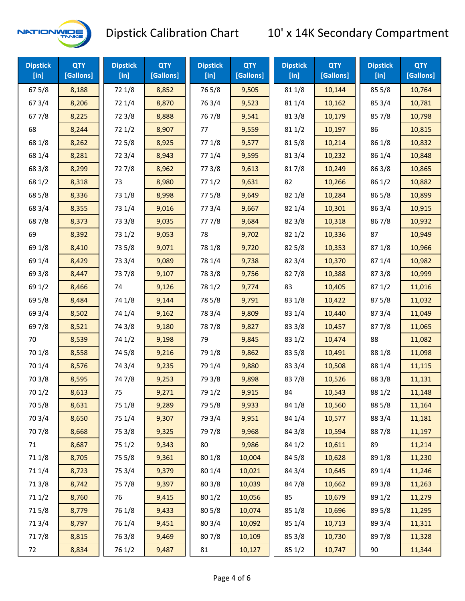

| <b>Dipstick</b><br>[in] | <b>QTY</b><br>[Gallons] | <b>Dipstick</b><br>$[$ in] | <b>QTY</b><br>[Gallons] | <b>Dipstick</b><br>$[$ in] | <b>QTY</b><br>[Gallons] | <b>Dipstick</b><br>$[$ in] | <b>QTY</b><br>[Gallons] | <b>Dipstick</b><br>$[$ in] | <b>QTY</b><br>[Gallons] |
|-------------------------|-------------------------|----------------------------|-------------------------|----------------------------|-------------------------|----------------------------|-------------------------|----------------------------|-------------------------|
| 67 5/8                  | 8,188                   | 72 1/8                     | 8,852                   | 765/8                      | 9,505                   | 81 1/8                     | 10,144                  | 85 5/8                     | 10,764                  |
| 67 3/4                  | 8,206                   | 72 1/4                     | 8,870                   | 763/4                      | 9,523                   | 81 1/4                     | 10,162                  | 85 3/4                     | 10,781                  |
| 67 7/8                  | 8,225                   | 72 3/8                     | 8,888                   | 767/8                      | 9,541                   | 81 3/8                     | 10,179                  | 85 7/8                     | 10,798                  |
| 68                      | 8,244                   | 72 1/2                     | 8,907                   | 77                         | 9,559                   | 81 1/2                     | 10,197                  | 86                         | 10,815                  |
| 68 1/8                  | 8,262                   | 725/8                      | 8,925                   | 77 1/8                     | 9,577                   | 815/8                      | 10,214                  | 86 1/8                     | 10,832                  |
| 68 1/4                  | 8,281                   | 72 3/4                     | 8,943                   | 77 1/4                     | 9,595                   | 813/4                      | 10,232                  | 86 1/4                     | 10,848                  |
| 68 3/8                  | 8,299                   | 727/8                      | 8,962                   | 77 3/8                     | 9,613                   | 817/8                      | 10,249                  | 86 3/8                     | 10,865                  |
| 68 1/2                  | 8,318                   | 73                         | 8,980                   | 771/2                      | 9,631                   | 82                         | 10,266                  | 86 1/2                     | 10,882                  |
| 68 5/8                  | 8,336                   | 73 1/8                     | 8,998                   | 775/8                      | 9,649                   | 82 1/8                     | 10,284                  | 865/8                      | 10,899                  |
| 68 3/4                  | 8,355                   | 73 1/4                     | 9,016                   | 773/4                      | 9,667                   | 82 1/4                     | 10,301                  | 86 3/4                     | 10,915                  |
| 687/8                   | 8,373                   | 73 3/8                     | 9,035                   | 777/8                      | 9,684                   | 82 3/8                     | 10,318                  | 867/8                      | 10,932                  |
| 69                      | 8,392                   | 73 1/2                     | 9,053                   | 78                         | 9,702                   | 821/2                      | 10,336                  | 87                         | 10,949                  |
| 69 1/8                  | 8,410                   | 73 5/8                     | 9,071                   | 78 1/8                     | 9,720                   | 82 5/8                     | 10,353                  | 871/8                      | 10,966                  |
| 69 1/4                  | 8,429                   | 73 3/4                     | 9,089                   | 78 1/4                     | 9,738                   | 82 3/4                     | 10,370                  | 87 1/4                     | 10,982                  |
| 69 3/8                  | 8,447                   | 737/8                      | 9,107                   | 78 3/8                     | 9,756                   | 827/8                      | 10,388                  | 87 3/8                     | 10,999                  |
| 69 1/2                  | 8,466                   | 74                         | 9,126                   | 78 1/2                     | 9,774                   | 83                         | 10,405                  | 871/2                      | 11,016                  |
| 69 5/8                  | 8,484                   | 74 1/8                     | 9,144                   | 78 5/8                     | 9,791                   | 83 1/8                     | 10,422                  | 87 5/8                     | 11,032                  |
| 69 3/4                  | 8,502                   | 74 1/4                     | 9,162                   | 78 3/4                     | 9,809                   | 83 1/4                     | 10,440                  | 87 3/4                     | 11,049                  |
| 69 7/8                  | 8,521                   | 74 3/8                     | 9,180                   | 787/8                      | 9,827                   | 83 3/8                     | 10,457                  | 877/8                      | 11,065                  |
| 70                      | 8,539                   | 74 1/2                     | 9,198                   | 79                         | 9,845                   | 83 1/2                     | 10,474                  | 88                         | 11,082                  |
| 70 1/8                  | 8,558                   | 74 5/8                     | 9,216                   | 79 1/8                     | 9,862                   | 83 5/8                     | 10,491                  | 88 1/8                     | 11,098                  |
| 70 1/4                  | 8,576                   | 74 3/4                     | 9,235                   | 79 1/4                     | 9,880                   | 83 3/4                     | 10,508                  | 88 1/4                     | 11,115                  |
| 70 3/8                  | 8,595                   | 747/8                      | 9,253                   | 79 3/8                     | 9,898                   | 837/8                      | 10,526                  | 88 3/8                     | 11,131                  |
| 70 1/2                  | 8,613                   | 75                         | 9,271                   | 79 1/2                     | 9,915                   | 84                         | 10,543                  | 88 1/2                     | 11,148                  |
| 70 5/8                  | 8,631                   | 75 1/8                     | 9,289                   | 79 5/8                     | 9,933                   | 84 1/8                     | 10,560                  | 88 5/8                     | 11,164                  |
| 70 3/4                  | 8,650                   | 75 1/4                     | 9,307                   | 79 3/4                     | 9,951                   | 84 1/4                     | 10,577                  | 88 3/4                     | 11,181                  |
| 70 7/8                  | 8,668                   | 75 3/8                     | 9,325                   | 79 7/8                     | 9,968                   | 84 3/8                     | 10,594                  | 887/8                      | 11,197                  |
| 71                      | 8,687                   | 75 1/2                     | 9,343                   | 80                         | 9,986                   | 84 1/2                     | 10,611                  | 89                         | 11,214                  |
| 71 1/8                  | 8,705                   | 75 5/8                     | 9,361                   | 80 1/8                     | 10,004                  | 84 5/8                     | 10,628                  | 89 1/8                     | 11,230                  |
| 71 1/4                  | 8,723                   | 75 3/4                     | 9,379                   | 80 1/4                     | 10,021                  | 84 3/4                     | 10,645                  | 89 1/4                     | 11,246                  |
| 713/8                   | 8,742                   | 75 7/8                     | 9,397                   | 80 3/8                     | 10,039                  | 847/8                      | 10,662                  | 89 3/8                     | 11,263                  |
| 71 1/2                  | 8,760                   | 76                         | 9,415                   | 80 1/2                     | 10,056                  | 85                         | 10,679                  | 89 1/2                     | 11,279                  |
| 715/8                   | 8,779                   | 76 1/8                     | 9,433                   | 80 5/8                     | 10,074                  | 85 1/8                     | 10,696                  | 89 5/8                     | 11,295                  |
| 713/4                   | 8,797                   | 76 1/4                     | 9,451                   | 80 3/4                     | 10,092                  | 85 1/4                     | 10,713                  | 89 3/4                     | 11,311                  |
| 717/8                   | 8,815                   | 763/8                      | 9,469                   | 807/8                      | 10,109                  | 85 3/8                     | 10,730                  | 897/8                      | 11,328                  |
| 72                      | 8,834                   | 76 1/2                     | 9,487                   | 81                         | 10,127                  | 85 1/2                     | 10,747                  | 90                         | 11,344                  |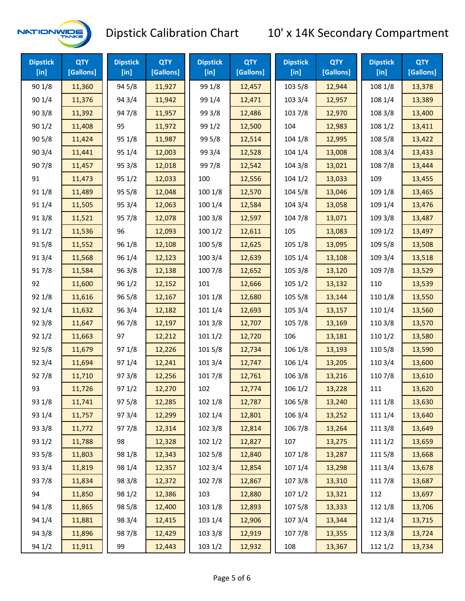

| <b>Dipstick</b><br>$[$ in] | <b>QTY</b><br>[Gallons] | <b>Dipstick</b><br>$[$ in] | <b>QTY</b><br>[Gallons] | <b>Dipstick</b><br>$[$ in] | <b>QTY</b><br>[Gallons] | <b>Dipstick</b><br>$[$ in] | <b>QTY</b><br>[Gallons] | <b>Dipstick</b><br>$[$ in] | <b>QTY</b><br>[Gallons] |
|----------------------------|-------------------------|----------------------------|-------------------------|----------------------------|-------------------------|----------------------------|-------------------------|----------------------------|-------------------------|
| 90 1/8                     | 11,360                  | 94 5/8                     | 11,927                  | 99 1/8                     | 12,457                  | 103 5/8                    | 12,944                  | 108 1/8                    | 13,378                  |
| 901/4                      | 11,376                  | 94 3/4                     | 11,942                  | 99 1/4                     | 12,471                  | 103 3/4                    | 12,957                  | 108 1/4                    | 13,389                  |
| 90 3/8                     | 11,392                  | 947/8                      | 11,957                  | 99 3/8                     | 12,486                  | 103 7/8                    | 12,970                  | 108 3/8                    | 13,400                  |
| 901/2                      | 11,408                  | 95                         | 11,972                  | 99 1/2                     | 12,500                  | 104                        | 12,983                  | 108 1/2                    | 13,411                  |
| 905/8                      | 11,424                  | 95 1/8                     | 11,987                  | 99 5/8                     | 12,514                  | 104 1/8                    | 12,995                  | 108 5/8                    | 13,422                  |
| 903/4                      | 11,441                  | 95 1/4                     | 12,003                  | 99 3/4                     | 12,528                  | 104 1/4                    | 13,008                  | 108 3/4                    | 13,433                  |
| 907/8                      | 11,457                  | 95 3/8                     | 12,018                  | 997/8                      | 12,542                  | 104 3/8                    | 13,021                  | 108 7/8                    | 13,444                  |
| 91                         | 11,473                  | 95 1/2                     | 12,033                  | 100                        | 12,556                  | 1041/2                     | 13,033                  | 109                        | 13,455                  |
| 91 1/8                     | 11,489                  | 955/8                      | 12,048                  | 100 1/8                    | 12,570                  | 104 5/8                    | 13,046                  | 109 1/8                    | 13,465                  |
| 91 1/4                     | 11,505                  | 95 3/4                     | 12,063                  | 100 1/4                    | 12,584                  | 104 3/4                    | 13,058                  | 109 1/4                    | 13,476                  |
| 913/8                      | 11,521                  | 95 7/8                     | 12,078                  | 100 3/8                    | 12,597                  | 104 7/8                    | 13,071                  | 109 3/8                    | 13,487                  |
| 91 1/2                     | 11,536                  | 96                         | 12,093                  | 1001/2                     | 12,611                  | 105                        | 13,083                  | 109 1/2                    | 13,497                  |
| 915/8                      | 11,552                  | 96 1/8                     | 12,108                  | 100 5/8                    | 12,625                  | 105 1/8                    | 13,095                  | 109 5/8                    | 13,508                  |
| 913/4                      | 11,568                  | 96 1/4                     | 12,123                  | 100 3/4                    | 12,639                  | 105 1/4                    | 13,108                  | 109 3/4                    | 13,518                  |
| 917/8                      | 11,584                  | 963/8                      | 12,138                  | 100 7/8                    | 12,652                  | 105 3/8                    | 13,120                  | 109 7/8                    | 13,529                  |
| 92                         | 11,600                  | 96 1/2                     | 12,152                  | 101                        | 12,666                  | 1051/2                     | 13,132                  | 110                        | 13,539                  |
| 92 1/8                     | 11,616                  | 96 5/8                     | 12,167                  | 101 1/8                    | 12,680                  | 105 5/8                    | 13,144                  | 110 1/8                    | 13,550                  |
| 92 1/4                     | 11,632                  | 96 3/4                     | 12,182                  | 101 1/4                    | 12,693                  | 105 3/4                    | 13,157                  | 110 1/4                    | 13,560                  |
| 92 3/8                     | 11,647                  | 967/8                      | 12,197                  | 1013/8                     | 12,707                  | 105 7/8                    | 13,169                  | 110 3/8                    | 13,570                  |
| 921/2                      | 11,663                  | 97                         | 12,212                  | 1011/2                     | 12,720                  | 106                        | 13,181                  | 110 1/2                    | 13,580                  |
| 925/8                      | 11,679                  | 97 1/8                     | 12,226                  | 101 5/8                    | 12,734                  | 106 1/8                    | 13,193                  | 110 5/8                    | 13,590                  |
| 92 3/4                     | 11,694                  | 97 1/4                     | 12,241                  | 101 3/4                    | 12,747                  | 106 1/4                    | 13,205                  | 110 3/4                    | 13,600                  |
| 92 7/8                     | 11,710                  | 973/8                      | 12,256                  | 101 7/8                    | 12,761                  | 106 3/8                    | 13,216                  | 110 7/8                    | 13,610                  |
| 93                         | 11,726                  | 97 1/2                     | 12,270                  | 102                        | 12,774                  | 106 1/2                    | 13,228                  | 111                        | 13,620                  |
| 93 1/8                     | 11,741                  | 975/8                      | 12,285                  | 102 1/8                    | 12,787                  | 106 5/8                    | 13,240                  | 111 1/8                    | 13,630                  |
| 93 1/4                     | 11,757                  | 973/4                      | 12,299                  | 102 1/4                    | 12,801                  | 106 3/4                    | 13,252                  | 111 1/4                    | 13,640                  |
| 93 3/8                     | 11,772                  | 977/8                      | 12,314                  | 102 3/8                    | 12,814                  | 106 7/8                    | 13,264                  | 111 3/8                    | 13,649                  |
| 93 1/2                     | 11,788                  | 98                         | 12,328                  | 102 1/2                    | 12,827                  | 107                        | 13,275                  | 111 1/2                    | 13,659                  |
| 93 5/8                     | 11,803                  | 98 1/8                     | 12,343                  | 102 5/8                    | 12,840                  | 107 1/8                    | 13,287                  | 1115/8                     | 13,668                  |
| 93 3/4                     | 11,819                  | 98 1/4                     | 12,357                  | 102 3/4                    | 12,854                  | 107 1/4                    | 13,298                  | 111 3/4                    | 13,678                  |
| 937/8                      | 11,834                  | 98 3/8                     | 12,372                  | 102 7/8                    | 12,867                  | 1073/8                     | 13,310                  | 111 7/8                    | 13,687                  |
| 94                         | 11,850                  | 98 1/2                     | 12,386                  | 103                        | 12,880                  | 1071/2                     | 13,321                  | 112                        | 13,697                  |
| 94 1/8                     | 11,865                  | 98 5/8                     | 12,400                  | 103 1/8                    | 12,893                  | 1075/8                     | 13,333                  | 112 1/8                    | 13,706                  |
| 94 1/4                     | 11,881                  | 98 3/4                     | 12,415                  | 103 1/4                    | 12,906                  | 107 3/4                    | 13,344                  | 112 1/4                    | 13,715                  |
| 94 3/8                     | 11,896                  | 987/8                      | 12,429                  | 103 3/8                    | 12,919                  | 107 7/8                    | 13,355                  | 112 3/8                    | 13,724                  |
| 94 1/2                     | 11,911                  | 99                         | 12,443                  | 103 1/2                    | 12,932                  | 108                        | 13,367                  | 112 1/2                    | 13,734                  |